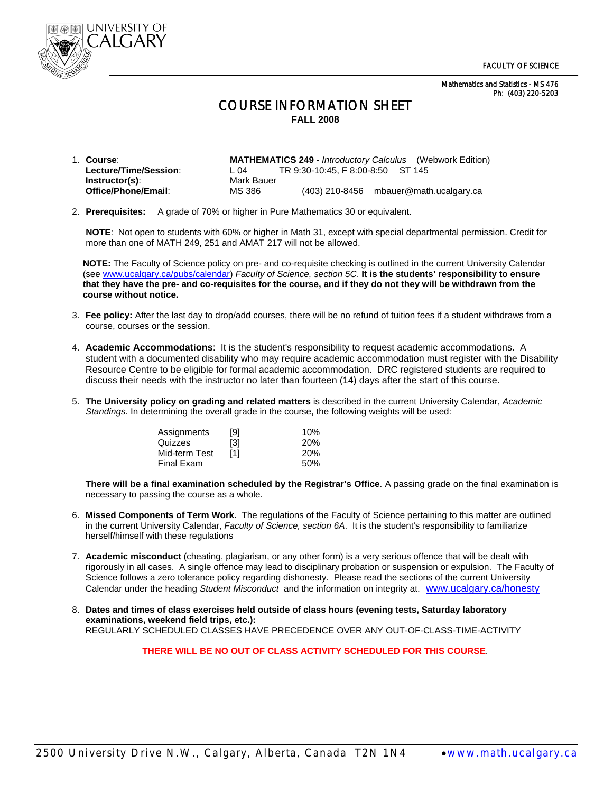Mathematics and Statistics - MS 476 Ph: (403) 220-5203



## COURSE INFORMATION SHEET **FALL 2008**

| 1. Course:            |            |                                   | <b>MATHEMATICS 249</b> - Introductory Calculus (Webwork Edition) |
|-----------------------|------------|-----------------------------------|------------------------------------------------------------------|
| Lecture/Time/Session: | L 04       | TR 9:30-10:45, F 8:00-8:50 ST 145 |                                                                  |
| Instructor(s):        | Mark Bauer |                                   |                                                                  |
| Office/Phone/Email:   | MS 386     |                                   | $(403)$ 210-8456 mbauer@math.ucalgary.ca                         |

2. **Prerequisites:** A grade of 70% or higher in Pure Mathematics 30 or equivalent.

 **NOTE**: Not open to students with 60% or higher in Math 31, except with special departmental permission. Credit for more than one of MATH 249, 251 and AMAT 217 will not be allowed.

**NOTE:** The Faculty of Science policy on pre- and co-requisite checking is outlined in the current University Calendar (see www.ucalgary.ca/pubs/calendar) *Faculty of Science, section 5C*. **It is the students' responsibility to ensure that they have the pre- and co-requisites for the course, and if they do not they will be withdrawn from the course without notice.** 

- 3. **Fee policy:** After the last day to drop/add courses, there will be no refund of tuition fees if a student withdraws from a course, courses or the session.
- 4. **Academic Accommodations**: It is the student's responsibility to request academic accommodations. A student with a documented disability who may require academic accommodation must register with the Disability Resource Centre to be eligible for formal academic accommodation. DRC registered students are required to discuss their needs with the instructor no later than fourteen (14) days after the start of this course.
- 5. **The University policy on grading and related matters** is described in the current University Calendar, *Academic Standings*. In determining the overall grade in the course, the following weights will be used:

|         | Assignments   | [9] | 10% |
|---------|---------------|-----|-----|
| Quizzes |               | [3] | 20% |
|         | Mid-term Test | [1] | 20% |
|         | Final Exam    |     | 50% |

**There will be a final examination scheduled by the Registrar's Office**. A passing grade on the final examination is necessary to passing the course as a whole.

- 6. **Missed Components of Term Work.** The regulations of the Faculty of Science pertaining to this matter are outlined in the current University Calendar, *Faculty of Science, section 6A*. It is the student's responsibility to familiarize herself/himself with these regulations
- 7. **Academic misconduct** (cheating, plagiarism, or any other form) is a very serious offence that will be dealt with rigorously in all cases. A single offence may lead to disciplinary probation or suspension or expulsion. The Faculty of Science follows a zero tolerance policy regarding dishonesty. Please read the sections of the current University Calendar under the heading *Student Misconduct* and the information on integrity at. www.ucalgary.ca/honesty
- 8. **Dates and times of class exercises held outside of class hours (evening tests, Saturday laboratory examinations, weekend field trips, etc.):** REGULARLY SCHEDULED CLASSES HAVE PRECEDENCE OVER ANY OUT-OF-CLASS-TIME-ACTIVITY

**THERE WILL BE NO OUT OF CLASS ACTIVITY SCHEDULED FOR THIS COURSE**.